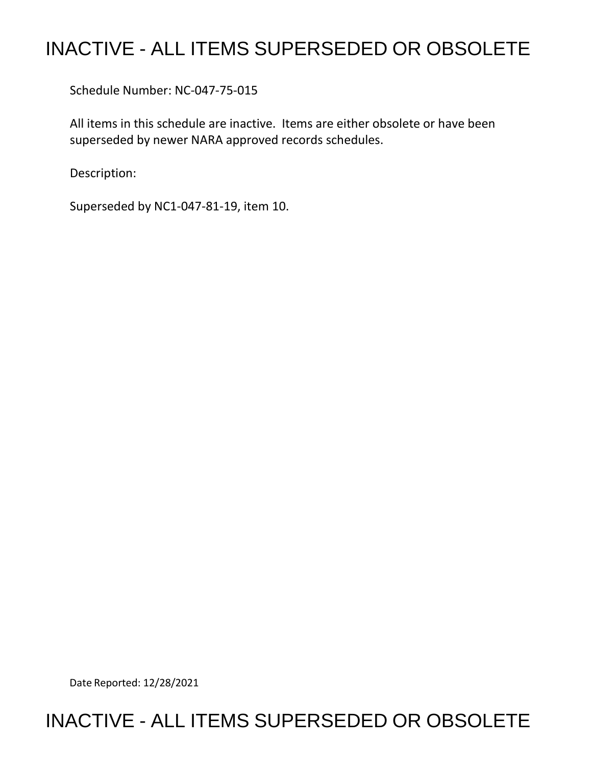## INACTIVE - ALL ITEMS SUPERSEDED OR OBSOLETE

Schedule Number: NC-047-75-015

 All items in this schedule are inactive. Items are either obsolete or have been superseded by newer NARA approved records schedules.

Description:

Superseded by NC1-047-81-19, item 10.

Date Reported: 12/28/2021

## INACTIVE - ALL ITEMS SUPERSEDED OR OBSOLETE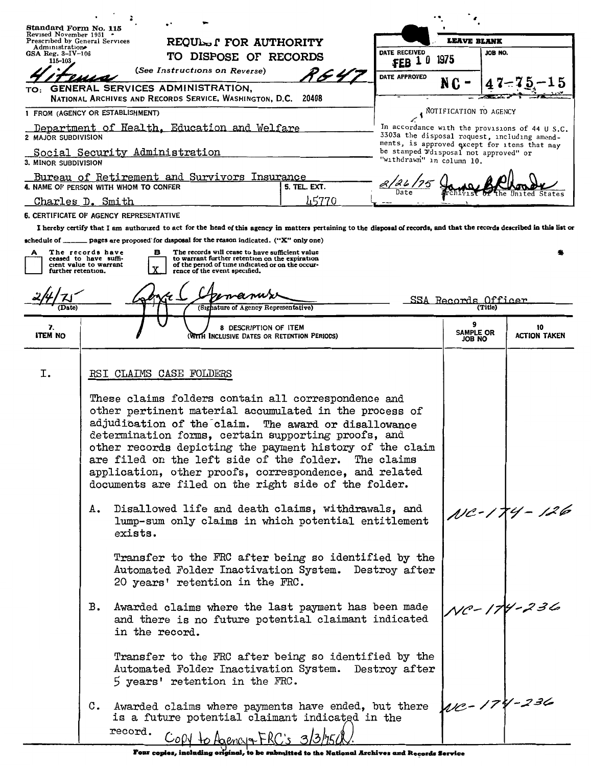| Standard Form No. 115                                                                                 |                                                                                                                                                                         |                                         |                                                                                                                                                       |                                      |                                                                                                                                                                           |                           |                                                                                                |                            |                                              |  |
|-------------------------------------------------------------------------------------------------------|-------------------------------------------------------------------------------------------------------------------------------------------------------------------------|-----------------------------------------|-------------------------------------------------------------------------------------------------------------------------------------------------------|--------------------------------------|---------------------------------------------------------------------------------------------------------------------------------------------------------------------------|---------------------------|------------------------------------------------------------------------------------------------|----------------------------|----------------------------------------------|--|
| Revised November 1951<br>Prescribed by General Services                                               |                                                                                                                                                                         |                                         | REQUINS I FOR AUTHORITY                                                                                                                               |                                      |                                                                                                                                                                           |                           | <b>LEAVE BLANK</b>                                                                             |                            |                                              |  |
| Administration<br>GSA Reg. $3-IV-106$                                                                 |                                                                                                                                                                         |                                         | TO DISPOSE OF RECORDS                                                                                                                                 |                                      |                                                                                                                                                                           | DATE RECEIVED             |                                                                                                | JOB NO.                    |                                              |  |
| $115 - 103$<br>(See Instructions on Reverse)                                                          |                                                                                                                                                                         |                                         |                                                                                                                                                       |                                      |                                                                                                                                                                           | $FEB$ 10                  | 1975                                                                                           |                            |                                              |  |
| TO:                                                                                                   |                                                                                                                                                                         |                                         | GENERAL SERVICES ADMINISTRATION,                                                                                                                      |                                      | P & 47                                                                                                                                                                    | DATE APPROVED             | N C                                                                                            |                            |                                              |  |
|                                                                                                       |                                                                                                                                                                         |                                         | NATIONAL ARCHIVES AND RECORDS SERVICE, WASHINGTON, D.C. 20408                                                                                         |                                      |                                                                                                                                                                           |                           |                                                                                                |                            |                                              |  |
| 1 FROM (AGENCY OR ESTABLISHMENT)<br>$\cdot$                                                           |                                                                                                                                                                         |                                         |                                                                                                                                                       |                                      |                                                                                                                                                                           |                           |                                                                                                | NOTIFICATION TO AGENCY     |                                              |  |
| Department of Health, Education and Welfare<br>2 MAJOR SUBDIVISION                                    |                                                                                                                                                                         |                                         |                                                                                                                                                       |                                      |                                                                                                                                                                           |                           | In accordance with the provisions of 44 U S.C.<br>3303a the disposal request, including amend- |                            |                                              |  |
| Social Security Administration<br>be stamped Fdisposal not approved" or                               |                                                                                                                                                                         |                                         |                                                                                                                                                       |                                      |                                                                                                                                                                           |                           |                                                                                                |                            | ments, is approved except for items that may |  |
| 3. MINOR SUBDIVISION                                                                                  |                                                                                                                                                                         |                                         |                                                                                                                                                       |                                      |                                                                                                                                                                           | "withdrawn" in column 10. |                                                                                                |                            |                                              |  |
| Bureau of Retirement and Survivors Insurance<br>4. NAME OF PERSON WITH WHOM TO CONFER<br>5. TEL. EXT. |                                                                                                                                                                         |                                         |                                                                                                                                                       |                                      |                                                                                                                                                                           |                           |                                                                                                |                            |                                              |  |
| Charles D. Smith                                                                                      |                                                                                                                                                                         |                                         |                                                                                                                                                       |                                      | 45770                                                                                                                                                                     |                           |                                                                                                |                            |                                              |  |
|                                                                                                       |                                                                                                                                                                         | 6. CERTIFICATE OF AGENCY REPRESENTATIVE |                                                                                                                                                       |                                      |                                                                                                                                                                           |                           |                                                                                                |                            |                                              |  |
|                                                                                                       |                                                                                                                                                                         |                                         |                                                                                                                                                       |                                      | I hereby certify that I am authorized to act for the head of this agency in matters pertaining to the disposal of records, and that the records described in this list or |                           |                                                                                                |                            |                                              |  |
|                                                                                                       |                                                                                                                                                                         |                                         | schedule of _____ pages are proposed for disposal for the reason indicated. ("X" only one)                                                            |                                      |                                                                                                                                                                           |                           |                                                                                                |                            |                                              |  |
| The records have<br>А<br>ceased to have suffi-<br>cient value to warrant                              |                                                                                                                                                                         | в                                       | The records will cease to have sufficient value<br>to warrant further retention on the expiration<br>of the period of time indicated or on the occur- |                                      |                                                                                                                                                                           |                           |                                                                                                |                            |                                              |  |
| further retention.                                                                                    |                                                                                                                                                                         |                                         | rence of the event specified.                                                                                                                         |                                      |                                                                                                                                                                           |                           |                                                                                                |                            |                                              |  |
|                                                                                                       |                                                                                                                                                                         |                                         |                                                                                                                                                       |                                      |                                                                                                                                                                           |                           |                                                                                                |                            |                                              |  |
| (Date)                                                                                                |                                                                                                                                                                         |                                         |                                                                                                                                                       | (Signature of Agency Representative) |                                                                                                                                                                           |                           | SSA Records Officer                                                                            |                            |                                              |  |
| 7.                                                                                                    |                                                                                                                                                                         |                                         |                                                                                                                                                       | 8 DESCRIPTION OF ITEM                |                                                                                                                                                                           |                           |                                                                                                |                            |                                              |  |
| <b>ITEM NO</b>                                                                                        |                                                                                                                                                                         |                                         |                                                                                                                                                       |                                      | (WITH INCLUSIVE DATES OR RETENTION PERIODS)                                                                                                                               |                           |                                                                                                | <b>SAMPLE OR</b><br>JOB NO | 10<br><b>ACTION TAKEN</b>                    |  |
|                                                                                                       |                                                                                                                                                                         |                                         |                                                                                                                                                       |                                      |                                                                                                                                                                           |                           |                                                                                                |                            |                                              |  |
| I.                                                                                                    |                                                                                                                                                                         |                                         |                                                                                                                                                       |                                      |                                                                                                                                                                           |                           |                                                                                                |                            |                                              |  |
|                                                                                                       | RSI CLAIMS CASE FOLDERS                                                                                                                                                 |                                         |                                                                                                                                                       |                                      |                                                                                                                                                                           |                           |                                                                                                |                            |                                              |  |
|                                                                                                       |                                                                                                                                                                         |                                         |                                                                                                                                                       |                                      | These claims folders contain all correspondence and                                                                                                                       |                           |                                                                                                |                            |                                              |  |
|                                                                                                       | other pertinent material accumulated in the process of<br>adjudication of the claim.<br>The award or disallowance                                                       |                                         |                                                                                                                                                       |                                      |                                                                                                                                                                           |                           |                                                                                                |                            |                                              |  |
|                                                                                                       |                                                                                                                                                                         |                                         |                                                                                                                                                       |                                      |                                                                                                                                                                           |                           |                                                                                                |                            |                                              |  |
|                                                                                                       | determination forms, certain supporting proofs, and<br>other records depicting the payment history of the claim<br>are filed on the left side of the folder. The claims |                                         |                                                                                                                                                       |                                      |                                                                                                                                                                           |                           |                                                                                                |                            |                                              |  |
|                                                                                                       |                                                                                                                                                                         |                                         |                                                                                                                                                       |                                      |                                                                                                                                                                           |                           |                                                                                                |                            |                                              |  |
|                                                                                                       | application, other proofs, correspondence, and related                                                                                                                  |                                         |                                                                                                                                                       |                                      |                                                                                                                                                                           |                           |                                                                                                |                            |                                              |  |
|                                                                                                       | documents are filed on the right side of the folder.                                                                                                                    |                                         |                                                                                                                                                       |                                      |                                                                                                                                                                           |                           |                                                                                                |                            |                                              |  |
|                                                                                                       | Disallowed life and death claims, withdrawals, and<br>Α.                                                                                                                |                                         |                                                                                                                                                       |                                      |                                                                                                                                                                           |                           |                                                                                                |                            |                                              |  |
|                                                                                                       | NC-174 - 126<br>lump-sum only claims in which potential entitlement                                                                                                     |                                         |                                                                                                                                                       |                                      |                                                                                                                                                                           |                           |                                                                                                |                            |                                              |  |
|                                                                                                       | exists.                                                                                                                                                                 |                                         |                                                                                                                                                       |                                      |                                                                                                                                                                           |                           |                                                                                                |                            |                                              |  |
|                                                                                                       | Transfer to the FRC after being so identified by the                                                                                                                    |                                         |                                                                                                                                                       |                                      |                                                                                                                                                                           |                           |                                                                                                |                            |                                              |  |
|                                                                                                       | Automated Folder Inactivation System. Destroy after                                                                                                                     |                                         |                                                                                                                                                       |                                      |                                                                                                                                                                           |                           |                                                                                                |                            |                                              |  |
|                                                                                                       |                                                                                                                                                                         |                                         | 20 years' retention in the FRC.                                                                                                                       |                                      |                                                                                                                                                                           |                           |                                                                                                |                            |                                              |  |
|                                                                                                       |                                                                                                                                                                         |                                         |                                                                                                                                                       |                                      |                                                                                                                                                                           |                           |                                                                                                |                            |                                              |  |
|                                                                                                       | в.                                                                                                                                                                      |                                         |                                                                                                                                                       |                                      | Awarded claims where the last payment has been made<br>and there is no future potential claimant indicated                                                                |                           |                                                                                                |                            | $Vc - 174 - 236$                             |  |
|                                                                                                       |                                                                                                                                                                         | in the record.                          |                                                                                                                                                       |                                      |                                                                                                                                                                           |                           |                                                                                                |                            |                                              |  |
|                                                                                                       |                                                                                                                                                                         |                                         |                                                                                                                                                       |                                      |                                                                                                                                                                           |                           |                                                                                                |                            |                                              |  |
|                                                                                                       |                                                                                                                                                                         |                                         |                                                                                                                                                       |                                      | Transfer to the FRC after being so identified by the                                                                                                                      |                           |                                                                                                |                            |                                              |  |
|                                                                                                       |                                                                                                                                                                         |                                         | 5 years' retention in the FRC.                                                                                                                        |                                      | Automated Folder Inactivation System. Destroy after                                                                                                                       |                           |                                                                                                |                            |                                              |  |
|                                                                                                       |                                                                                                                                                                         |                                         |                                                                                                                                                       |                                      |                                                                                                                                                                           |                           |                                                                                                |                            |                                              |  |
|                                                                                                       |                                                                                                                                                                         |                                         |                                                                                                                                                       |                                      | C. Awarded claims where payments have ended, but there                                                                                                                    |                           |                                                                                                |                            | $UC - 174 - 236$                             |  |
|                                                                                                       | is a future potential claimant indicated in the                                                                                                                         |                                         |                                                                                                                                                       |                                      |                                                                                                                                                                           |                           |                                                                                                |                            |                                              |  |
|                                                                                                       |                                                                                                                                                                         | record.                                 | COPY to Agencia FRC's 3/3/7500                                                                                                                        |                                      |                                                                                                                                                                           |                           |                                                                                                |                            |                                              |  |

**rour copies, including original, to be submitted to the National Archives and Records Service**